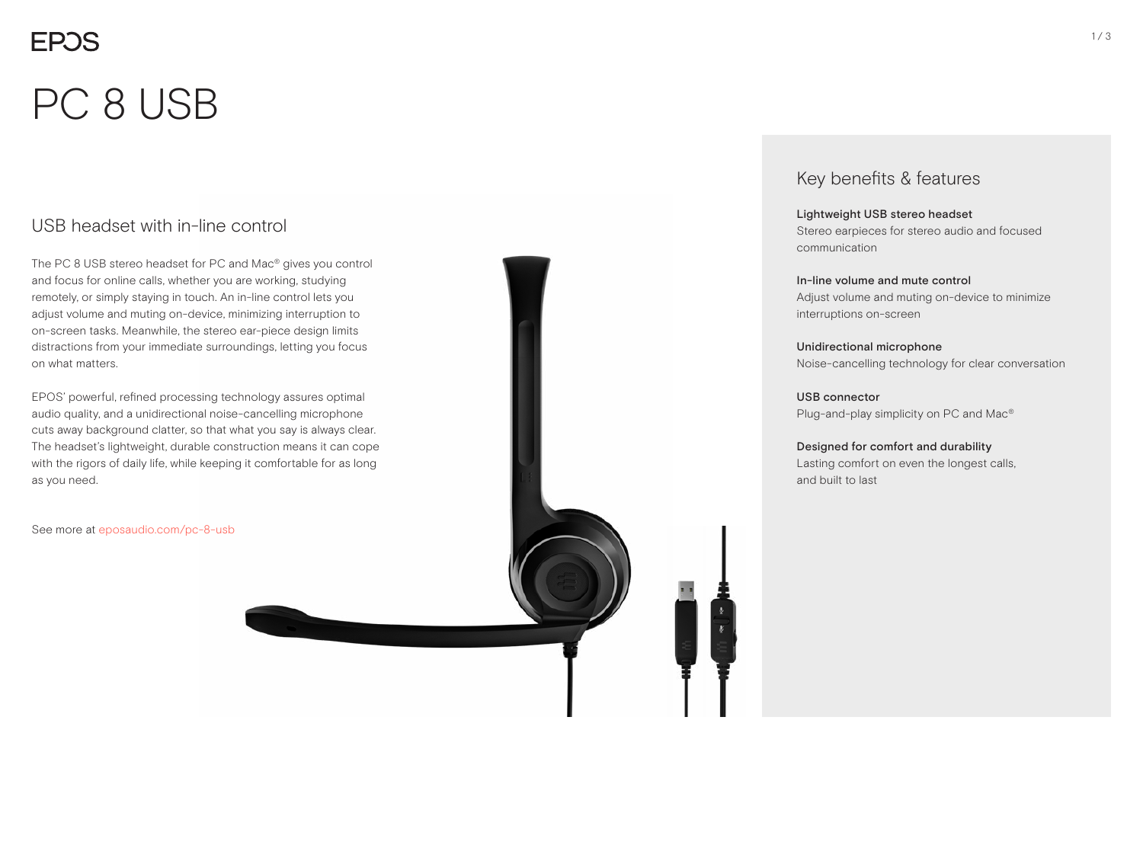# **EPOS** PC 8 USB

#### USB headset with in-line control

The PC 8 USB stereo headset for PC and Mac® gives you control and focus for online calls, whether you are working, studying remotely, or simply staying in touch. An in-line control lets you adjust volume and muting on-device, minimizing interruption to on-screen tasks. Meanwhile, the stereo ear-piece design limits distractions from your immediate surroundings, letting you focus on what matters.

EPOS' powerful, refined processing technology assures optimal audio quality, and a unidirectional noise-cancelling microphone cuts away background clatter, so that what you say is always clear. The headset's lightweight, durable construction means it can cope with the rigors of daily life, while keeping it comfortable for as long as you need.

See more at eposaudio.com/pc-8-usb

#### Key benefits & features

Lightweight USB stereo headset Stereo earpieces for stereo audio and focused communication

In-line volume and mute control Adjust volume and muting on-device to minimize interruptions on-screen

Unidirectional microphone Noise-cancelling technology for clear conversation

USB connector Plug-and-play simplicity on PC and Mac®

Designed for comfort and durability Lasting comfort on even the longest calls, and built to last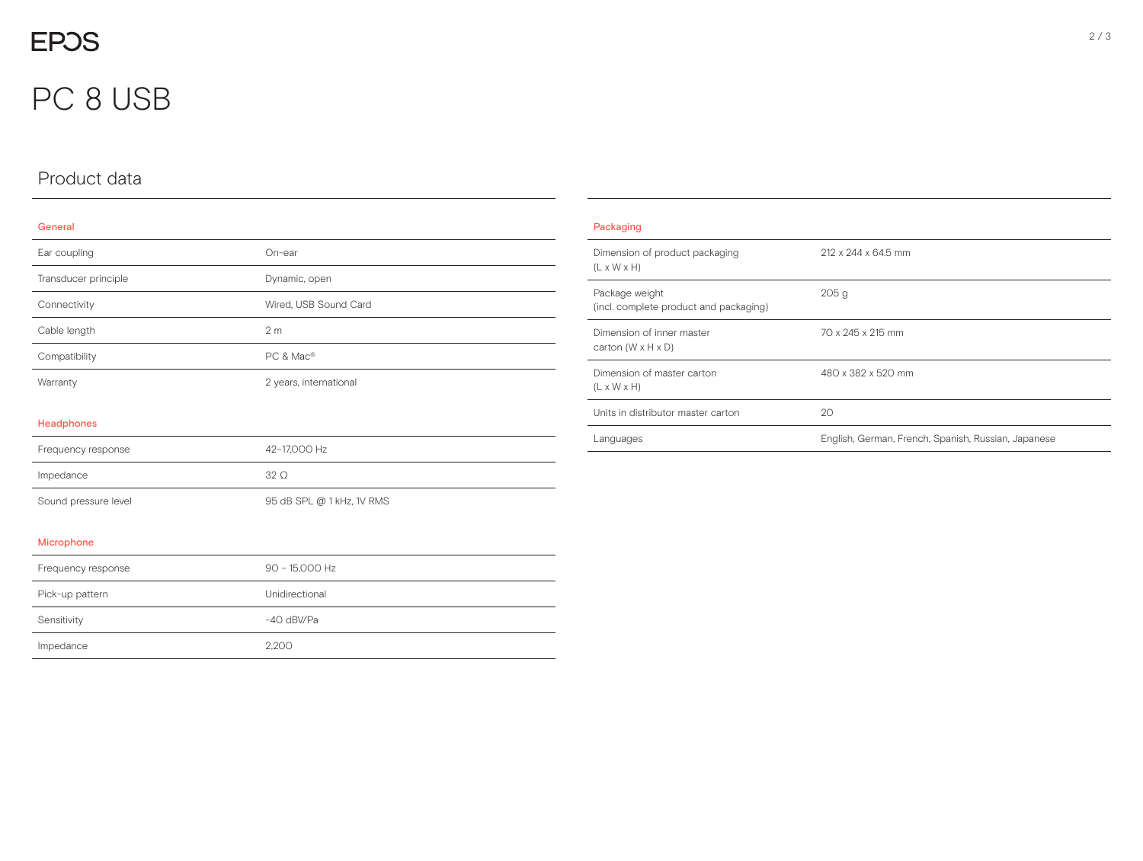## **EPOS**

## PC 8 USB

## Product data

Impedance 2,200

#### General

| Ear coupling         | On-ear                    |
|----------------------|---------------------------|
| Transducer principle | Dynamic, open             |
| Connectivity         | Wired, USB Sound Card     |
| Cable length         | 2 <sub>m</sub>            |
| Compatibility        | PC & Mac <sup>®</sup>     |
| Warranty             | 2 years, international    |
| Headphones           |                           |
| Frequency response   | 42-17,000 Hz              |
| Impedance            | $32\Omega$                |
| Sound pressure level | 95 dB SPL @ 1 kHz, 1V RMS |
| Microphone           |                           |
| Frequency response   | 90 - 15,000 Hz            |
| Pick-up pattern      | Unidirectional            |
| Sensitivity          | -40 dBV/Pa                |

| Packaging                                                   |                                                     |
|-------------------------------------------------------------|-----------------------------------------------------|
| Dimension of product packaging<br>$(L \times W \times H)$   | 212 x 244 x 64.5 mm                                 |
| Package weight<br>(incl. complete product and packaging)    | 205q                                                |
| Dimension of inner master<br>carton $(W \times H \times D)$ | 70 x 245 x 215 mm                                   |
| Dimension of master carton<br>$(L \times W \times H)$       | 480 x 382 x 520 mm                                  |
| Units in distributor master carton                          | 20                                                  |
| Languages                                                   | English, German, French, Spanish, Russian, Japanese |